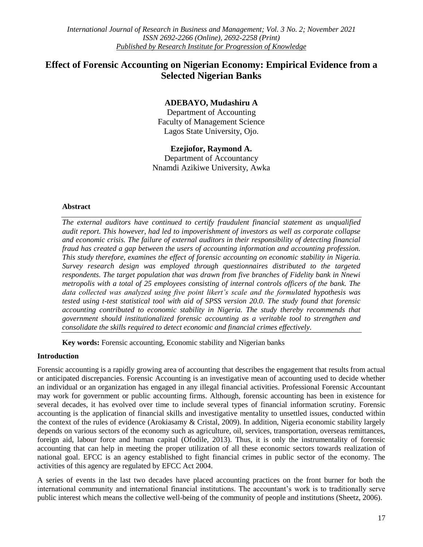# **Effect of Forensic Accounting on Nigerian Economy: Empirical Evidence from a Selected Nigerian Banks**

## **ADEBAYO, Mudashiru A**

Department of Accounting Faculty of Management Science Lagos State University, Ojo.

## **Ezejiofor, Raymond A.**

Department of Accountancy Nnamdi Azikiwe University, Awka

## **Abstract**

*The external auditors have continued to certify fraudulent financial statement as unqualified audit report. This however, had led to impoverishment of investors as well as corporate collapse and economic crisis. The failure of external auditors in their responsibility of detecting financial fraud has created a gap between the users of accounting information and accounting profession. This study therefore, examines the effect of forensic accounting on economic stability in Nigeria. Survey research design was employed through questionnaires distributed to the targeted respondents. The target population that was drawn from five branches of Fidelity bank in Nnewi metropolis with a total of 25 employees consisting of internal controls officers of the bank. The data collected was analyzed using five point likert's scale and the formulated hypothesis was tested using t-test statistical tool with aid of SPSS version 20.0. The study found that forensic accounting contributed to economic stability in Nigeria. The study thereby recommends that government should institutionalized forensic accounting as a veritable tool to strengthen and consolidate the skills required to detect economic and financial crimes effectively.*

**Key words:** Forensic accounting, Economic stability and Nigerian banks

#### **Introduction**

Forensic accounting is a rapidly growing area of accounting that describes the engagement that results from actual or anticipated discrepancies. Forensic Accounting is an investigative mean of accounting used to decide whether an individual or an organization has engaged in any illegal financial activities. Professional Forensic Accountant may work for government or public accounting firms. Although, forensic accounting has been in existence for several decades, it has evolved over time to include several types of financial information scrutiny. Forensic accounting is the application of financial skills and investigative mentality to unsettled issues, conducted within the context of the rules of evidence (Arokiasamy & Cristal, 2009). In addition, Nigeria economic stability largely depends on various sectors of the economy such as agriculture, oil, services, transportation, overseas remittances, foreign aid, labour force and human capital (Ofodile, 2013). Thus, it is only the instrumentality of forensic accounting that can help in meeting the proper utilization of all these economic sectors towards realization of national goal. EFCC is an agency established to fight financial crimes in public sector of the economy. The activities of this agency are regulated by EFCC Act 2004.

A series of events in the last two decades have placed accounting practices on the front burner for both the international community and international financial institutions. The accountant"s work is to traditionally serve public interest which means the collective well-being of the community of people and institutions (Sheetz, 2006).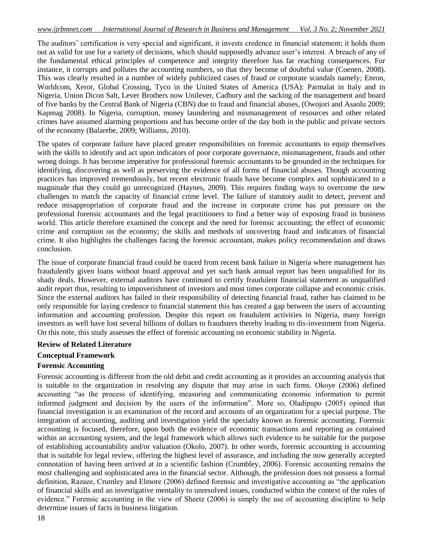The auditors" certification is very special and significant, it invests credence in financial statement; it holds them out as valid for use for a variety of decisions, which should supposedly advance user"s interest. A breach of any of the fundamental ethical principles of competence and integrity therefore has far reaching consequences. For instance, it corrupts and pollutes the accounting numbers, so that they become of doubtful value (Coenen, 2008). This was clearly resulted in a number of widely publicized cases of fraud or corporate scandals namely; Enron, Worldcom, Xeror, Global Crossing, Tyco in the United States of America (USA): Parmalat in Italy and in Nigeria, Union Dicon Salt, Lever Brothers now Unilever, Cadbury and the sacking of the management and board of five banks by the Central Bank of Nigeria (CBN) due to fraud and financial abuses, (Owojori and Asaolu 2009; Kapmag 2008). In Nigeria, corruption, money laundering and mismanagement of resources and other related crimes have assumed alarming proportions and has become order of the day both in the public and private sectors of the economy (Balarebe, 2009; Williams, 2010).

The spates of corporate failure have placed greater responsibilities on forensic accountants to equip themselves with the skills to identify and act upon indicators of poor corporate governance, mismanagement, frauds and other wrong doings. It has become imperative for professional forensic accountants to be grounded in the techniques for identifying, discovering as well as preserving the evidence of all forms of financial abuses. Though accounting practices has improved tremendously, but recent electronic frauds have become complex and sophisticated to a magnitude that they could go unrecognized (Haynes, 2009). This requires finding ways to overcome the new challenges to match the capacity of financial crime level. The failure of statutory audit to detect, prevent and reduce misappropriation of corporate fraud and the increase in corporate crime has put pressure on the professional forensic accountants and the legal practitioners to find a better way of exposing fraud in business world. This article therefore examined the concept and the need for forensic accounting; the effect of economic crime and corruption on the economy; the skills and methods of uncovering fraud and indicators of financial crime. It also highlights the challenges facing the forensic accountant, makes policy recommendation and draws conclusion.

The issue of corporate financial fraud could be traced from recent bank failure in Nigeria where management has fraudulently given loans without board approval and yet such bank annual report has been unqualified for its shady deals. However, external auditors have continued to certify fraudulent financial statement as unqualified audit report thus, resulting to impoverishment of investors and most times corporate collapse and economic crisis. Since the external auditors has failed in their responsibility of detecting financial fraud, rather has claimed to be only responsible for laying credence to financial statement this has created a gap between the users of accounting information and accounting profession. Despite this report on fraudulent activities in Nigeria, many foreign investors as well have lost several billions of dollars to fraudsters thereby leading to dis-investment from Nigeria. On this note, this study assesses the effect of forensic accounting on economic stability in Nigeria.

#### **Review of Related Literature**

## **Conceptual Framework**

#### **Forensic Accounting**

Forensic accounting is different from the old debit and credit accounting as it provides an accounting analysis that is suitable to the organization in resolving any dispute that may arise in such firms. Okoye (2006) defined accounting "as the process of identifying, measuring and communicating economic information to permit informed judgment and decision by the users of the information". More so, Oladipupo (2005) opined that financial investigation is an examination of the record and accounts of an organization for a special purpose. The integration of accounting, auditing and investigation yield the specialty known as forensic accounting. Forensic accounting is focused, therefore, upon both the evidence of economic transactions and reporting as contained within an accounting system, and the legal framework which allows such evidence to be suitable for the purpose of establishing accountability and/or valuation (Okolo, 2007). In other words, forensic accounting is accounting that is suitable for legal review, offering the highest level of assurance, and including the now generally accepted connotation of having been arrived at in a scientific fashion (Crumbley, 2006). Forensic accounting remains the most challenging and sophisticated area in the financial sector. Although, the profession does not possess a formal definition, Razaee, Crumley and Elmore (2006) defined forensic and investigative accounting as "the application of financial skills and an investigative mentality to unresolved issues, conducted within the context of the rules of evidence." Forensic accounting in the view of Sheetz (2006) is simply the use of accounting discipline to help determine issues of facts in business litigation.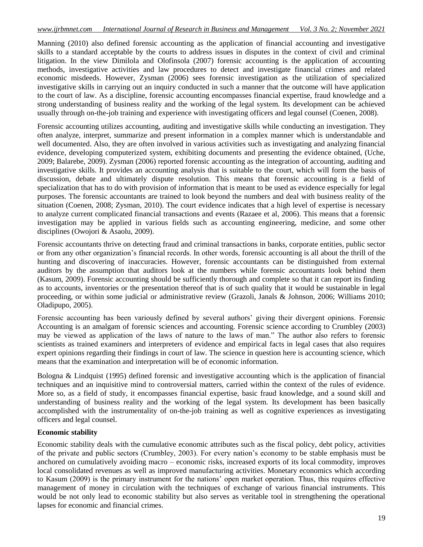Manning (2010) also defined forensic accounting as the application of financial accounting and investigative skills to a standard acceptable by the courts to address issues in disputes in the context of civil and criminal litigation. In the view Dimilola and Olofinsola (2007) forensic accounting is the application of accounting methods, investigative activities and law procedures to detect and investigate financial crimes and related economic misdeeds. However, Zysman (2006) sees forensic investigation as the utilization of specialized investigative skills in carrying out an inquiry conducted in such a manner that the outcome will have application to the court of law. As a discipline, forensic accounting encompasses financial expertise, fraud knowledge and a strong understanding of business reality and the working of the legal system. Its development can be achieved usually through on-the-job training and experience with investigating officers and legal counsel (Coenen, 2008).

Forensic accounting utilizes accounting, auditing and investigative skills while conducting an investigation. They often analyze, interpret, summarize and present information in a complex manner which is understandable and well documented. Also, they are often involved in various activities such as investigating and analyzing financial evidence, developing computerized system, exhibiting documents and presenting the evidence obtained, (Uche, 2009; Balarebe, 2009). Zysman (2006) reported forensic accounting as the integration of accounting, auditing and investigative skills. It provides an accounting analysis that is suitable to the court, which will form the basis of discussion, debate and ultimately dispute resolution. This means that forensic accounting is a field of specialization that has to do with provision of information that is meant to be used as evidence especially for legal purposes. The forensic accountants are trained to look beyond the numbers and deal with business reality of the situation (Coenen, 2008; Zysman, 2010). The court evidence indicates that a high level of expertise is necessary to analyze current complicated financial transactions and events (Razaee et al, 2006). This means that a forensic investigation may be applied in various fields such as accounting engineering, medicine, and some other disciplines (Owojori & Asaolu, 2009).

Forensic accountants thrive on detecting fraud and criminal transactions in banks, corporate entities, public sector or from any other organization"s financial records. In other words, forensic accounting is all about the thrill of the hunting and discovering of inaccuracies. However, forensic accountants can be distinguished from external auditors by the assumption that auditors look at the numbers while forensic accountants look behind them (Kasum, 2009). Forensic accounting should be sufficiently thorough and complete so that it can report its finding as to accounts, inventories or the presentation thereof that is of such quality that it would be sustainable in legal proceeding, or within some judicial or administrative review (Grazoli, Janals & Johnson, 2006; Williams 2010; Oladipupo, 2005).

Forensic accounting has been variously defined by several authors' giving their divergent opinions. Forensic Accounting is an amalgam of forensic sciences and accounting. Forensic science according to Crumbley (2003) may be viewed as application of the laws of nature to the laws of man." The author also refers to forensic scientists as trained examiners and interpreters of evidence and empirical facts in legal cases that also requires expert opinions regarding their findings in court of law. The science in question here is accounting science, which means that the examination and interpretation will be of economic information.

Bologna & Lindquist (1995) defined forensic and investigative accounting which is the application of financial techniques and an inquisitive mind to controversial matters, carried within the context of the rules of evidence. More so, as a field of study, it encompasses financial expertise, basic fraud knowledge, and a sound skill and understanding of business reality and the working of the legal system. Its development has been basically accomplished with the instrumentality of on-the-job training as well as cognitive experiences as investigating officers and legal counsel.

## **Economic stability**

Economic stability deals with the cumulative economic attributes such as the fiscal policy, debt policy, activities of the private and public sectors (Crumbley, 2003). For every nation"s economy to be stable emphasis must be anchored on cumulatively avoiding macro – economic risks, increased exports of its local commodity, improves local consolidated revenues as well as improved manufacturing activities. Monetary economics which according to Kasum (2009) is the primary instrument for the nations" open market operation. Thus, this requires effective management of money in circulation with the techniques of exchange of various financial instruments. This would be not only lead to economic stability but also serves as veritable tool in strengthening the operational lapses for economic and financial crimes.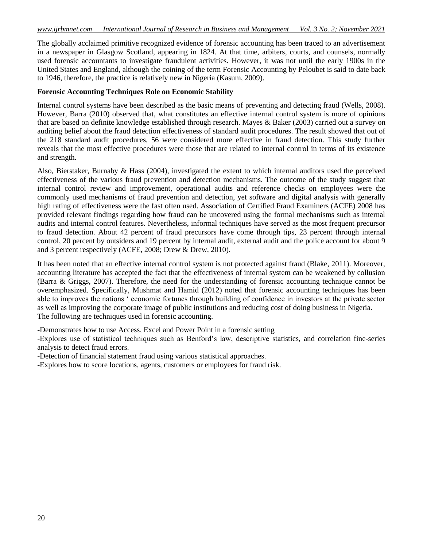The globally acclaimed primitive recognized evidence of forensic accounting has been traced to an advertisement in a newspaper in Glasgow Scotland, appearing in 1824. At that time, arbiters, courts, and counsels, normally used forensic accountants to investigate fraudulent activities. However, it was not until the early 1900s in the United States and England, although the coining of the term Forensic Accounting by Peloubet is said to date back to 1946, therefore, the practice is relatively new in Nigeria (Kasum, 2009).

#### **Forensic Accounting Techniques Role on Economic Stability**

Internal control systems have been described as the basic means of preventing and detecting fraud (Wells, 2008). However, Barra (2010) observed that, what constitutes an effective internal control system is more of opinions that are based on definite knowledge established through research. Mayes & Baker (2003) carried out a survey on auditing belief about the fraud detection effectiveness of standard audit procedures. The result showed that out of the 218 standard audit procedures, 56 were considered more effective in fraud detection. This study further reveals that the most effective procedures were those that are related to internal control in terms of its existence and strength.

Also, Bierstaker, Burnaby & Hass (2004), investigated the extent to which internal auditors used the perceived effectiveness of the various fraud prevention and detection mechanisms. The outcome of the study suggest that internal control review and improvement, operational audits and reference checks on employees were the commonly used mechanisms of fraud prevention and detection, yet software and digital analysis with generally high rating of effectiveness were the fast often used. Association of Certified Fraud Examiners (ACFE) 2008 has provided relevant findings regarding how fraud can be uncovered using the formal mechanisms such as internal audits and internal control features. Nevertheless, informal techniques have served as the most frequent precursor to fraud detection. About 42 percent of fraud precursors have come through tips, 23 percent through internal control, 20 percent by outsiders and 19 percent by internal audit, external audit and the police account for about 9 and 3 percent respectively (ACFE, 2008; Drew & Drew, 2010).

It has been noted that an effective internal control system is not protected against fraud (Blake, 2011). Moreover, accounting literature has accepted the fact that the effectiveness of internal system can be weakened by collusion (Barra & Griggs, 2007). Therefore, the need for the understanding of forensic accounting technique cannot be overemphasized. Specifically, Mushmat and Hamid (2012) noted that forensic accounting techniques has been able to improves the nations " economic fortunes through building of confidence in investors at the private sector as well as improving the corporate image of public institutions and reducing cost of doing business in Nigeria. The following are techniques used in forensic accounting.

-Demonstrates how to use Access, Excel and Power Point in a forensic setting

-Explores use of statistical techniques such as Benford"s law, descriptive statistics, and correlation fine-series analysis to detect fraud errors.

-Detection of financial statement fraud using various statistical approaches.

-Explores how to score locations, agents, customers or employees for fraud risk.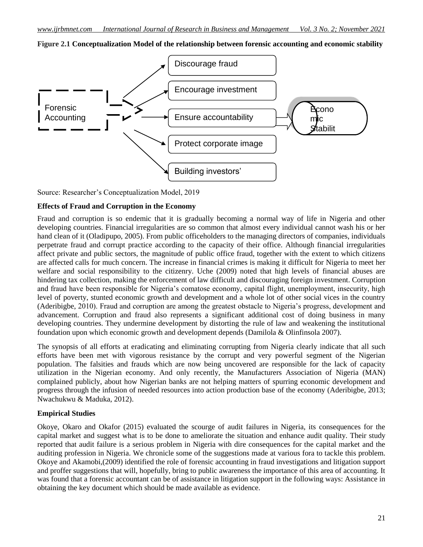**Figure 2.1 Conceptualization Model of the relationship between forensic accounting and economic stability**



Source: Researcher"s Conceptualization Model, 2019

## **Effects of Fraud and Corruption in the Economy**

Fraud and corruption is so endemic that it is gradually becoming a normal way of life in Nigeria and other developing countries. Financial irregularities are so common that almost every individual cannot wash his or her hand clean of it (Oladipupo, 2005). From public officeholders to the managing directors of companies, individuals perpetrate fraud and corrupt practice according to the capacity of their office. Although financial irregularities affect private and public sectors, the magnitude of public office fraud, together with the extent to which citizens are affected calls for much concern. The increase in financial crimes is making it difficult for Nigeria to meet her welfare and social responsibility to the citizenry. Uche (2009) noted that high levels of financial abuses are hindering tax collection, making the enforcement of law difficult and discouraging foreign investment. Corruption and fraud have been responsible for Nigeria's comatose economy, capital flight, unemployment, insecurity, high level of poverty, stunted economic growth and development and a whole lot of other social vices in the country (Aderibigbe, 2010). Fraud and corruption are among the greatest obstacle to Nigeria"s progress, development and advancement. Corruption and fraud also represents a significant additional cost of doing business in many developing countries. They undermine development by distorting the rule of law and weakening the institutional foundation upon which economic growth and development depends (Damilola & Olinfinsola 2007).

The synopsis of all efforts at eradicating and eliminating corrupting from Nigeria clearly indicate that all such efforts have been met with vigorous resistance by the corrupt and very powerful segment of the Nigerian population. The falsities and frauds which are now being uncovered are responsible for the lack of capacity utilization in the Nigerian economy. And only recently, the Manufacturers Association of Nigeria (MAN) complained publicly, about how Nigerian banks are not helping matters of spurring economic development and progress through the infusion of needed resources into action production base of the economy (Aderibigbe, 2013; Nwachukwu & Maduka, 2012).

#### **Empirical Studies**

Okoye, Okaro and Okafor (2015) evaluated the scourge of audit failures in Nigeria, its consequences for the capital market and suggest what is to be done to ameliorate the situation and enhance audit quality. Their study reported that audit failure is a serious problem in Nigeria with dire consequences for the capital market and the auditing profession in Nigeria. We chronicle some of the suggestions made at various fora to tackle this problem. Okoye and Akamobi,(2009) identified the role of forensic accounting in fraud investigations and litigation support and proffer suggestions that will, hopefully, bring to public awareness the importance of this area of accounting. It was found that a forensic accountant can be of assistance in litigation support in the following ways: Assistance in obtaining the key document which should be made available as evidence.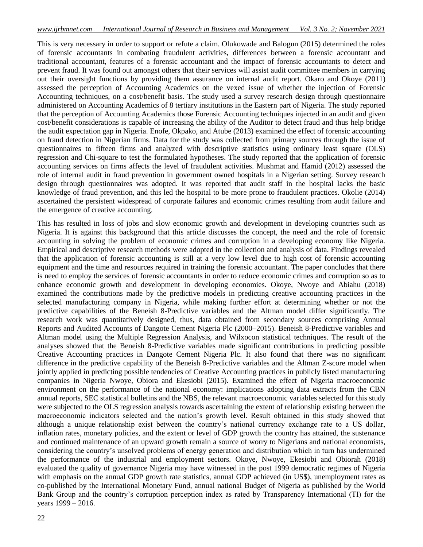This is very necessary in order to support or refute a claim. Olukowade and Balogun (2015) determined the roles of forensic accountants in combating fraudulent activities, differences between a forensic accountant and traditional accountant, features of a forensic accountant and the impact of forensic accountants to detect and prevent fraud. It was found out amongst others that their services will assist audit committee members in carrying out their oversight functions by providing them assurance on internal audit report. Okaro and Okoye (2011) assessed the perception of Accounting Academics on the vexed issue of whether the injection of Forensic Accounting techniques, on a cost/benefit basis. The study used a survey research design through questionnaire administered on Accounting Academics of 8 tertiary institutions in the Eastern part of Nigeria. The study reported that the perception of Accounting Academics those Forensic Accounting techniques injected in an audit and given cost/benefit considerations is capable of increasing the ability of the Auditor to detect fraud and thus help bridge the audit expectation gap in Nigeria. Enofe, Okpako, and Atube (2013) examined the effect of forensic accounting on fraud detection in Nigerian firms. Data for the study was collected from primary sources through the issue of questionnaires to fifteen firms and analyzed with descriptive statistics using ordinary least square (OLS) regression and Chi-square to test the formulated hypotheses. The study reported that the application of forensic accounting services on firms affects the level of fraudulent activities. Mushmat and Hamid (2012) assessed the role of internal audit in fraud prevention in government owned hospitals in a Nigerian setting. Survey research design through questionnaires was adopted. It was reported that audit staff in the hospital lacks the basic knowledge of fraud prevention, and this led the hospital to be more prone to fraudulent practices. Okolie (2014) ascertained the persistent widespread of corporate failures and economic crimes resulting from audit failure and the emergence of creative accounting.

This has resulted in loss of jobs and slow economic growth and development in developing countries such as Nigeria. It is against this background that this article discusses the concept, the need and the role of forensic accounting in solving the problem of economic crimes and corruption in a developing economy like Nigeria. Empirical and descriptive research methods were adopted in the collection and analysis of data. Findings revealed that the application of forensic accounting is still at a very low level due to high cost of forensic accounting equipment and the time and resources required in training the forensic accountant. The paper concludes that there is need to employ the services of forensic accountants in order to reduce economic crimes and corruption so as to enhance economic growth and development in developing economies. Okoye, Nwoye and Abiahu (2018) examined the contributions made by the predictive models in predicting creative accounting practices in the selected manufacturing company in Nigeria, while making further effort at determining whether or not the predictive capabilities of the Beneish 8-Predictive variables and the Altman model differ significantly. The research work was quantitatively designed, thus, data obtained from secondary sources comprising Annual Reports and Audited Accounts of Dangote Cement Nigeria Plc (2000–2015). Beneish 8-Predictive variables and Altman model using the Multiple Regression Analysis, and Wilxocon statistical techniques. The result of the analyses showed that the Beneish 8-Predictive variables made significant contributions in predicting possible Creative Accounting practices in Dangote Cement Nigeria Plc. It also found that there was no significant difference in the predictive capability of the Beneish 8-Predictive variables and the Altman Z-score model when jointly applied in predicting possible tendencies of Creative Accounting practices in publicly listed manufacturing companies in Nigeria Nwoye, Obiora and Ekesiobi (2015). Examined the effect of Nigeria macroeconomic environment on the performance of the national economy: implications adopting data extracts from the CBN annual reports, SEC statistical bulletins and the NBS, the relevant macroeconomic variables selected for this study were subjected to the OLS regression analysis towards ascertaining the extent of relationship existing between the macroeconomic indicators selected and the nation"s growth level. Result obtained in this study showed that although a unique relationship exist between the country"s national currency exchange rate to a US dollar, inflation rates, monetary policies, and the extent or level of GDP growth the country has attained, the sustenance and continued maintenance of an upward growth remain a source of worry to Nigerians and national economists, considering the country"s unsolved problems of energy generation and distribution which in turn has undermined the performance of the industrial and employment sectors. Okoye, Nwoye, Ekesiobi and Obiorah (2018) evaluated the quality of governance Nigeria may have witnessed in the post 1999 democratic regimes of Nigeria with emphasis on the annual GDP growth rate statistics, annual GDP achieved (in US\$), unemployment rates as co-published by the International Monetary Fund, annual national Budget of Nigeria as published by the World Bank Group and the country"s corruption perception index as rated by Transparency International (TI) for the years 1999 – 2016.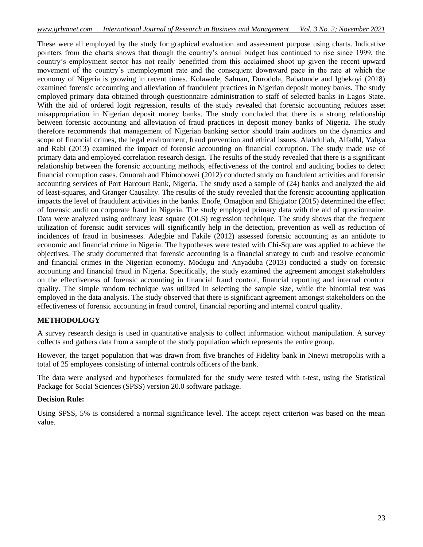These were all employed by the study for graphical evaluation and assessment purpose using charts. Indicative pointers from the charts shows that though the country"s annual budget has continued to rise since 1999, the country"s employment sector has not really benefitted from this acclaimed shoot up given the recent upward movement of the country"s unemployment rate and the consequent downward pace in the rate at which the economy of Nigeria is growing in recent times. Kolawole, Salman, Durodola, Babatunde and Igbekoyi (2018) examined forensic accounting and alleviation of fraudulent practices in Nigerian deposit money banks. The study employed primary data obtained through questionnaire administration to staff of selected banks in Lagos State. With the aid of ordered logit regression, results of the study revealed that forensic accounting reduces asset misappropriation in Nigerian deposit money banks. The study concluded that there is a strong relationship between forensic accounting and alleviation of fraud practices in deposit money banks of Nigeria. The study therefore recommends that management of Nigerian banking sector should train auditors on the dynamics and scope of financial crimes, the legal environment, fraud prevention and ethical issues. Alabdullah, Alfadhl, Yahya and Rabi (2013) examined the impact of forensic accounting on financial corruption. The study made use of primary data and employed correlation research design. The results of the study revealed that there is a significant relationship between the forensic accounting methods, effectiveness of the control and auditing bodies to detect financial corruption cases. Onuorah and Ebimobowei (2012) conducted study on fraudulent activities and forensic accounting services of Port Harcourt Bank, Nigeria. The study used a sample of (24) banks and analyzed the aid of least-squares, and Granger Causality. The results of the study revealed that the forensic accounting application impacts the level of fraudulent activities in the banks. Enofe, Omagbon and Ehigiator (2015) determined the effect of forensic audit on corporate fraud in Nigeria. The study employed primary data with the aid of questionnaire. Data were analyzed using ordinary least square (OLS) regression technique. The study shows that the frequent utilization of forensic audit services will significantly help in the detection, prevention as well as reduction of incidences of fraud in businesses. Adegbie and Fakile (2012) assessed forensic accounting as an antidote to economic and financial crime in Nigeria. The hypotheses were tested with Chi-Square was applied to achieve the objectives. The study documented that forensic accounting is a financial strategy to curb and resolve economic and financial crimes in the Nigerian economy. Modugu and Anyaduba (2013) conducted a study on forensic accounting and financial fraud in Nigeria. Specifically, the study examined the agreement amongst stakeholders on the effectiveness of forensic accounting in financial fraud control, financial reporting and internal control quality. The simple random technique was utilized in selecting the sample size, while the binomial test was employed in the data analysis. The study observed that there is significant agreement amongst stakeholders on the effectiveness of forensic accounting in fraud control, financial reporting and internal control quality.

## **METHODOLOGY**

A survey research design is used in quantitative analysis to collect information without manipulation. A survey collects and gathers data from a sample of the study population which represents the entire group.

However, the target population that was drawn from five branches of Fidelity bank in Nnewi metropolis with a total of 25 employees consisting of internal controls officers of the bank.

The data were analysed and hypotheses formulated for the study were tested with t-test, using the Statistical Package for Social Sciences (SPSS) version 20.0 software package.

#### **Decision Rule:**

Using SPSS, 5% is considered a normal significance level. The accept reject criterion was based on the mean value.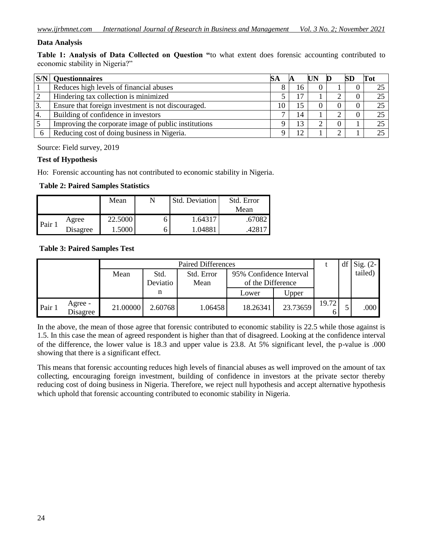## **Data Analysis**

**Table 1: Analysis of Data Collected on Question "**to what extent does forensic accounting contributed to economic stability in Nigeria?"

| S/N | <b>Questionnaires</b>                                | SА |    | D | Tot |
|-----|------------------------------------------------------|----|----|---|-----|
|     | Reduces high levels of financial abuses              |    | 16 |   |     |
|     | Hindering tax collection is minimized                |    |    |   | 25  |
| 3.  | Ensure that foreign investment is not discouraged.   | 10 | 15 |   | 25  |
| 14. | Building of confidence in investors                  |    | 14 |   | 25  |
|     | Improving the corporate image of public institutions |    | 13 |   | 25  |
|     | Reducing cost of doing business in Nigeria.          |    | 12 |   |     |

Source: Field survey, 2019

## **Test of Hypothesis**

Ho: Forensic accounting has not contributed to economic stability in Nigeria.

**Table 2: Paired Samples Statistics**

|                   |          | Mean    | <b>Std. Deviation</b> | Std. Error |
|-------------------|----------|---------|-----------------------|------------|
|                   |          |         |                       | Mean       |
| Pair <sub>1</sub> | Agree    | 22.5000 | 1.64317               | .67082     |
|                   | Disagree | 1.5000  | 1.04881               | .42817     |

## **Table 3: Paired Samples Test**

|        |                     | <b>Paired Differences</b> |          |            |                         |          | df    | Sig. $(2-$ |         |
|--------|---------------------|---------------------------|----------|------------|-------------------------|----------|-------|------------|---------|
|        |                     | Mean                      | Std.     | Std. Error | 95% Confidence Interval |          |       |            | tailed) |
|        |                     |                           | Deviatio | Mean       | of the Difference       |          |       |            |         |
|        |                     |                           | n        |            | Lower                   | Upper    |       |            |         |
| Pair 1 | Agree -<br>Disagree | 21.00000                  | 2.60768  | 1.06458    | 18.26341                | 23.73659 | 19.72 |            | .000    |

In the above, the mean of those agree that forensic contributed to economic stability is 22.5 while those against is 1.5. In this case the mean of agreed respondent is higher than that of disagreed. Looking at the confidence interval of the difference, the lower value is 18.3 and upper value is 23.8. At 5% significant level, the p-value is .000 showing that there is a significant effect.

This means that forensic accounting reduces high levels of financial abuses as well improved on the amount of tax collecting, encouraging foreign investment, building of confidence in investors at the private sector thereby reducing cost of doing business in Nigeria. Therefore, we reject null hypothesis and accept alternative hypothesis which uphold that forensic accounting contributed to economic stability in Nigeria.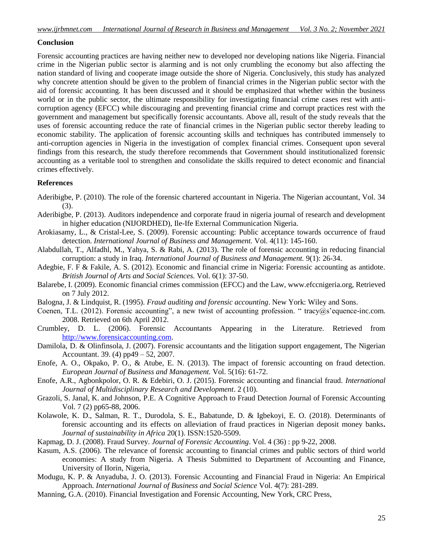#### **Conclusion**

Forensic accounting practices are having neither new to developed nor developing nations like Nigeria. Financial crime in the Nigerian public sector is alarming and is not only crumbling the economy but also affecting the nation standard of living and cooperate image outside the shore of Nigeria. Conclusively, this study has analyzed why concrete attention should be given to the problem of financial crimes in the Nigerian public sector with the aid of forensic accounting. It has been discussed and it should be emphasized that whether within the business world or in the public sector, the ultimate responsibility for investigating financial crime cases rest with anticorruption agency (EFCC) while discouraging and preventing financial crime and corrupt practices rest with the government and management but specifically forensic accountants. Above all, result of the study reveals that the uses of forensic accounting reduce the rate of financial crimes in the Nigerian public sector thereby leading to economic stability. The application of forensic accounting skills and techniques has contributed immensely to anti-corruption agencies in Nigeria in the investigation of complex financial crimes. Consequent upon several findings from this research, the study therefore recommends that Government should institutionalized forensic accounting as a veritable tool to strengthen and consolidate the skills required to detect economic and financial crimes effectively.

#### **References**

- Aderibigbe, P. (2010). The role of the forensic chartered accountant in Nigeria. The Nigerian accountant, Vol. 34 (3).
- Aderibigbe, P. (2013). Auditors independence and corporate fraud in nigeria journal of research and development in higher education (NIJORDHED), Ile-Ife External Communication Nigeria.
- Arokiasamy, L., & Cristal-Lee, S. (2009). Forensic accounting: Public acceptance towards occurrence of fraud detection. *International Journal of Business and Management.* Vol. 4(11): 145-160.
- Alabdullah, T., Alfadhl, M., Yahya, S. & Rabi, A. (2013). The role of forensic accounting in reducing financial corruption: a study in Iraq. *International Journal of Business and Management.* 9(1): 26-34.
- Adegbie, F. F & Fakile, A. S. (2012). Economic and financial crime in Nigeria: Forensic accounting as antidote. *British Journal of Arts and Social Sciences.* Vol. 6(1): 37-50.
- Balarebe, I. (2009). Economic financial crimes commission (EFCC) and the Law, www.efccnigeria.org, Retrieved on 7 July 2012.
- Balogna, J. & Lindquist, R. (1995). *Fraud auditing and forensic accounting*. New York: Wiley and Sons.
- Coenen, T.L. (2012). Forensic accounting", a new twist of accounting profession. "tracy@s'equence-inc.com. 2008. Retrieved on 6th April 2012.
- Crumbley, D. L. (2006). Forensic Accountants Appearing in the Literature. Retrieved from [http://www.forensicaccounting.com.](http://www.forensicaccounting.com/)
- Damilola, D. & Olinfinsola, J. (2007). Forensic accountants and the litigation support engagement, The Nigerian Accountant. 39. (4) pp49 – 52, 2007.
- Enofe, A. O., Okpako, P. O., & Atube, E. N. (2013). The impact of forensic accounting on fraud detection. *European Journal of Business and Management.* Vol. 5(16): 61-72.
- Enofe, A.R., Agbonkpolor, O. R. & Edebiri, O. J. (2015). Forensic accounting and financial fraud. *International Journal of Multidisciplinary Research and Development*. 2 (10).
- Grazoli, S. Janal, K. and Johnson, P.E. A Cognitive Approach to Fraud Detection Journal of Forensic Accounting Vol. 7 (2) pp65-88, 2006.
- Kolawole, K. D., Salman, R. T., Durodola, S. E., Babatunde, D. & Igbekoyi, E. O. (2018). Determinants of forensic accounting and its effects on alleviation of fraud practices in Nigerian deposit money banks**.**  *Journal of sustainability in Africa* 20(1). ISSN:1520-5509.
- Kapmag, D. J. (2008). Fraud Survey. *Journal of Forensic Accounting*. Vol. 4 (36) : pp 9-22, 2008.
- Kasum, A.S. (2006). The relevance of forensic accounting to financial crimes and public sectors of third world economies: A study from Nigeria. A Thesis Submitted to Department of Accounting and Finance, University of IIorin, Nigeria,
- Modugu, K. P. & Anyaduba, J. O. (2013). Forensic Accounting and Financial Fraud in Nigeria: An Empirical Approach. *International Journal of Business and Social Science* Vol. 4(7): 281-289.
- Manning, G.A. (2010). Financial Investigation and Forensic Accounting, New York, CRC Press,